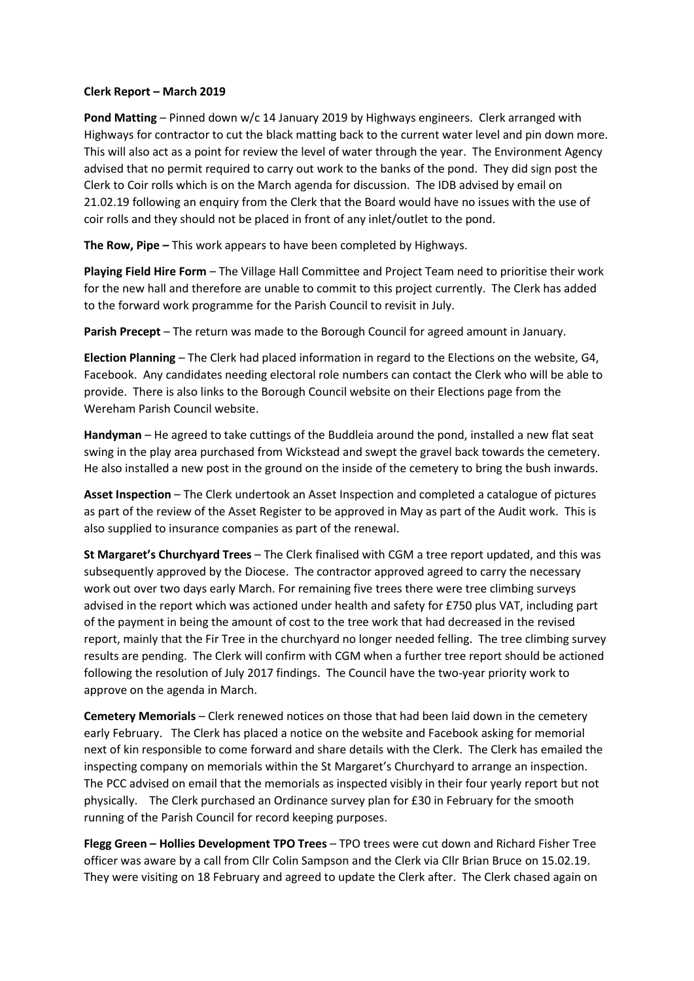## **Clerk Report – March 2019**

**Pond Matting** – Pinned down w/c 14 January 2019 by Highways engineers. Clerk arranged with Highways for contractor to cut the black matting back to the current water level and pin down more. This will also act as a point for review the level of water through the year. The Environment Agency advised that no permit required to carry out work to the banks of the pond. They did sign post the Clerk to Coir rolls which is on the March agenda for discussion. The IDB advised by email on 21.02.19 following an enquiry from the Clerk that the Board would have no issues with the use of coir rolls and they should not be placed in front of any inlet/outlet to the pond.

**The Row, Pipe –** This work appears to have been completed by Highways.

**Playing Field Hire Form** – The Village Hall Committee and Project Team need to prioritise their work for the new hall and therefore are unable to commit to this project currently. The Clerk has added to the forward work programme for the Parish Council to revisit in July.

**Parish Precept** – The return was made to the Borough Council for agreed amount in January.

**Election Planning** – The Clerk had placed information in regard to the Elections on the website, G4, Facebook. Any candidates needing electoral role numbers can contact the Clerk who will be able to provide. There is also links to the Borough Council website on their Elections page from the Wereham Parish Council website.

**Handyman** – He agreed to take cuttings of the Buddleia around the pond, installed a new flat seat swing in the play area purchased from Wickstead and swept the gravel back towards the cemetery. He also installed a new post in the ground on the inside of the cemetery to bring the bush inwards.

**Asset Inspection** – The Clerk undertook an Asset Inspection and completed a catalogue of pictures as part of the review of the Asset Register to be approved in May as part of the Audit work. This is also supplied to insurance companies as part of the renewal.

**St Margaret's Churchyard Trees** – The Clerk finalised with CGM a tree report updated, and this was subsequently approved by the Diocese. The contractor approved agreed to carry the necessary work out over two days early March. For remaining five trees there were tree climbing surveys advised in the report which was actioned under health and safety for £750 plus VAT, including part of the payment in being the amount of cost to the tree work that had decreased in the revised report, mainly that the Fir Tree in the churchyard no longer needed felling. The tree climbing survey results are pending. The Clerk will confirm with CGM when a further tree report should be actioned following the resolution of July 2017 findings. The Council have the two-year priority work to approve on the agenda in March.

**Cemetery Memorials** – Clerk renewed notices on those that had been laid down in the cemetery early February. The Clerk has placed a notice on the website and Facebook asking for memorial next of kin responsible to come forward and share details with the Clerk. The Clerk has emailed the inspecting company on memorials within the St Margaret's Churchyard to arrange an inspection. The PCC advised on email that the memorials as inspected visibly in their four yearly report but not physically. The Clerk purchased an Ordinance survey plan for £30 in February for the smooth running of the Parish Council for record keeping purposes.

**Flegg Green – Hollies Development TPO Trees** – TPO trees were cut down and Richard Fisher Tree officer was aware by a call from Cllr Colin Sampson and the Clerk via Cllr Brian Bruce on 15.02.19. They were visiting on 18 February and agreed to update the Clerk after. The Clerk chased again on